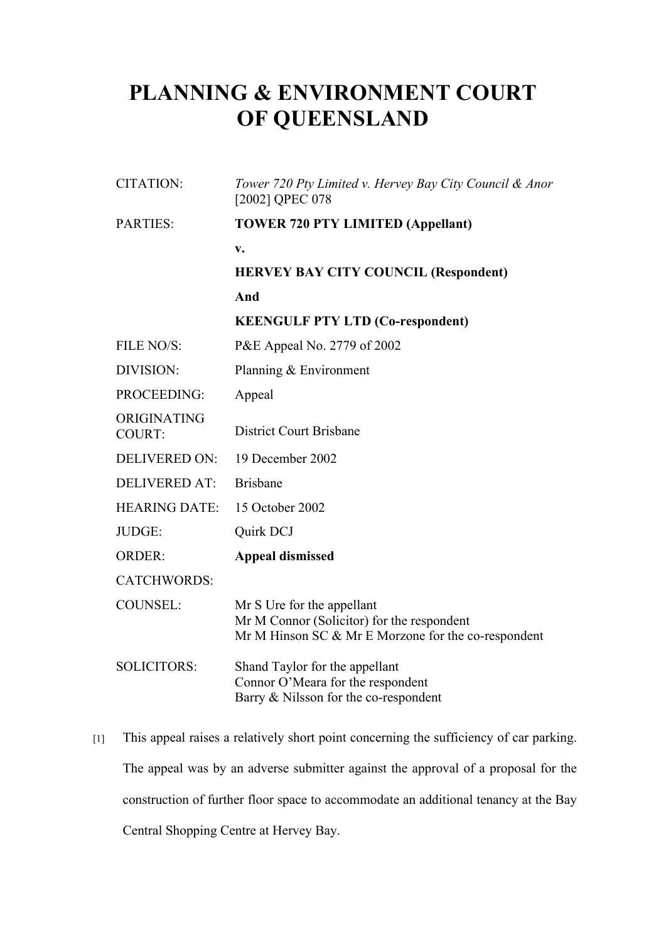## **PLANNING & ENVIRONMENT COURT OF QUEENSLAND**

| <b>CITATION:</b>      | Tower 720 Pty Limited v. Hervey Bay City Council & Anor<br>[2002] QPEC 078                                                      |
|-----------------------|---------------------------------------------------------------------------------------------------------------------------------|
| <b>PARTIES:</b>       | <b>TOWER 720 PTY LIMITED (Appellant)</b>                                                                                        |
|                       | v.                                                                                                                              |
|                       | <b>HERVEY BAY CITY COUNCIL (Respondent)</b>                                                                                     |
|                       | And                                                                                                                             |
|                       | <b>KEENGULF PTY LTD (Co-respondent)</b>                                                                                         |
| FILE NO/S:            | P&E Appeal No. 2779 of 2002                                                                                                     |
| DIVISION:             | Planning $& Environment$                                                                                                        |
| PROCEEDING:           | Appeal                                                                                                                          |
| ORIGINATING<br>COURT: | <b>District Court Brisbane</b>                                                                                                  |
| <b>DELIVERED ON:</b>  | 19 December 2002                                                                                                                |
| <b>DELIVERED AT:</b>  | <b>Brisbane</b>                                                                                                                 |
| <b>HEARING DATE:</b>  | 15 October 2002                                                                                                                 |
| JUDGE:                | Quirk DCJ                                                                                                                       |
| <b>ORDER:</b>         | <b>Appeal dismissed</b>                                                                                                         |
| <b>CATCHWORDS:</b>    |                                                                                                                                 |
| <b>COUNSEL:</b>       | Mr S Ure for the appellant<br>Mr M Connor (Solicitor) for the respondent<br>Mr M Hinson SC & Mr E Morzone for the co-respondent |
| <b>SOLICITORS:</b>    | Shand Taylor for the appellant<br>Connor O'Meara for the respondent<br>Barry & Nilsson for the co-respondent                    |

[1] This appeal raises a relatively short point concerning the sufficiency of car parking. The appeal was by an adverse submitter against the approval of a proposal for the construction of further floor space to accommodate an additional tenancy at the Bay Central Shopping Centre at Hervey Bay.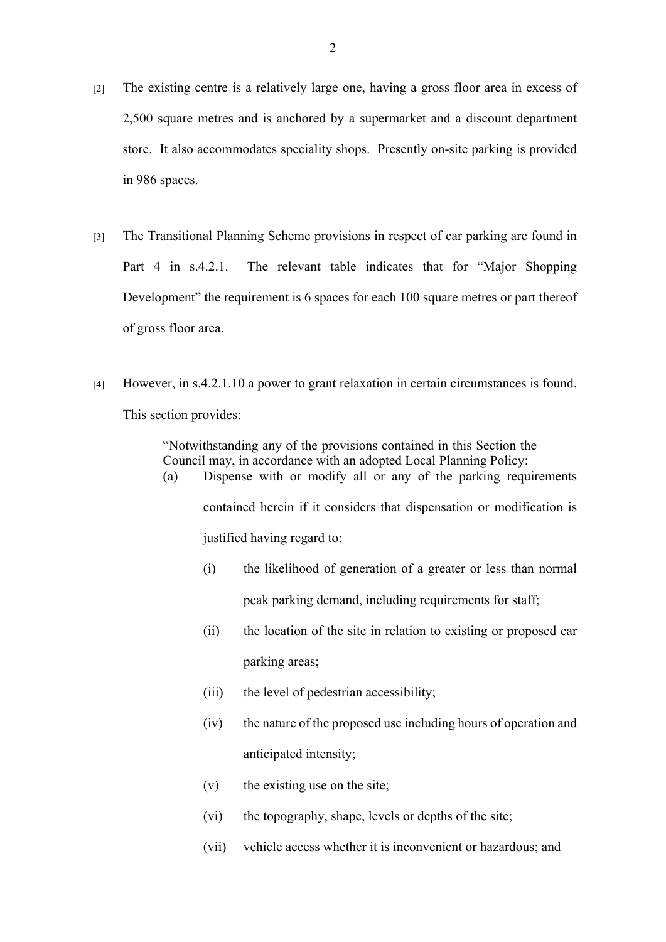- [2] The existing centre is a relatively large one, having a gross floor area in excess of 2,500 square metres and is anchored by a supermarket and a discount department store. It also accommodates speciality shops. Presently on-site parking is provided in 986 spaces.
- [3] The Transitional Planning Scheme provisions in respect of car parking are found in Part 4 in s.4.2.1. The relevant table indicates that for "Major Shopping Development" the requirement is 6 spaces for each 100 square metres or part thereof of gross floor area.
- [4] However, in s.4.2.1.10 a power to grant relaxation in certain circumstances is found. This section provides:

"Notwithstanding any of the provisions contained in this Section the Council may, in accordance with an adopted Local Planning Policy: (a) Dispense with or modify all or any of the parking requirements contained herein if it considers that dispensation or modification is justified having regard to:

- (i) the likelihood of generation of a greater or less than normal peak parking demand, including requirements for staff;
- (ii) the location of the site in relation to existing or proposed car parking areas;
- (iii) the level of pedestrian accessibility;
- (iv) the nature of the proposed use including hours of operation and anticipated intensity;
- (v) the existing use on the site;
- (vi) the topography, shape, levels or depths of the site;
- (vii) vehicle access whether it is inconvenient or hazardous; and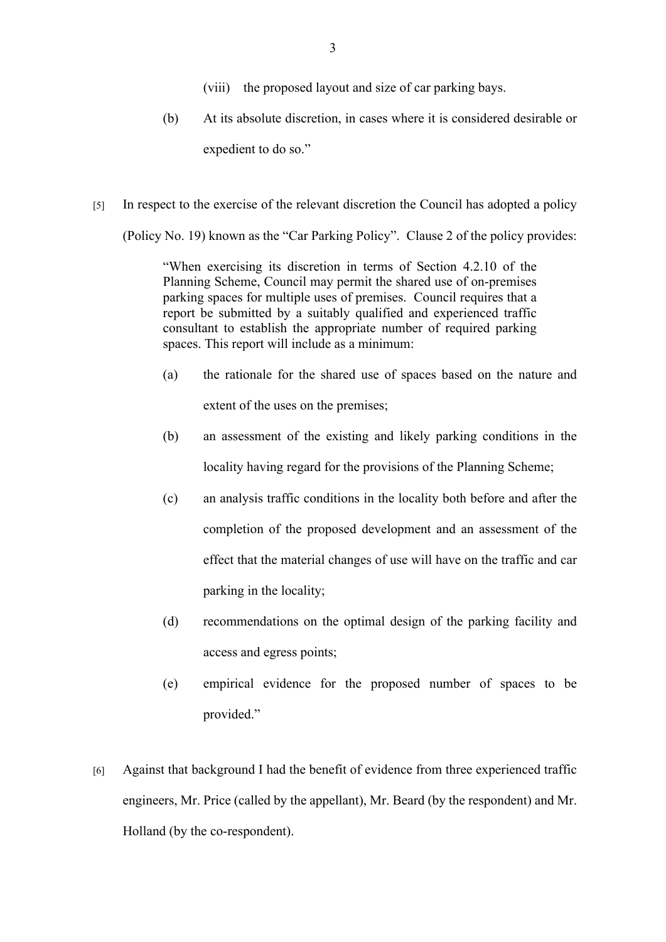- (viii) the proposed layout and size of car parking bays.
- (b) At its absolute discretion, in cases where it is considered desirable or expedient to do so."
- [5] In respect to the exercise of the relevant discretion the Council has adopted a policy

(Policy No. 19) known as the "Car Parking Policy". Clause 2 of the policy provides:

"When exercising its discretion in terms of Section 4.2.10 of the Planning Scheme, Council may permit the shared use of on-premises parking spaces for multiple uses of premises. Council requires that a report be submitted by a suitably qualified and experienced traffic consultant to establish the appropriate number of required parking spaces. This report will include as a minimum:

- (a) the rationale for the shared use of spaces based on the nature and extent of the uses on the premises;
- (b) an assessment of the existing and likely parking conditions in the locality having regard for the provisions of the Planning Scheme;
- (c) an analysis traffic conditions in the locality both before and after the completion of the proposed development and an assessment of the effect that the material changes of use will have on the traffic and car parking in the locality;
- (d) recommendations on the optimal design of the parking facility and access and egress points;
- (e) empirical evidence for the proposed number of spaces to be provided."
- [6] Against that background I had the benefit of evidence from three experienced traffic engineers, Mr. Price (called by the appellant), Mr. Beard (by the respondent) and Mr. Holland (by the co-respondent).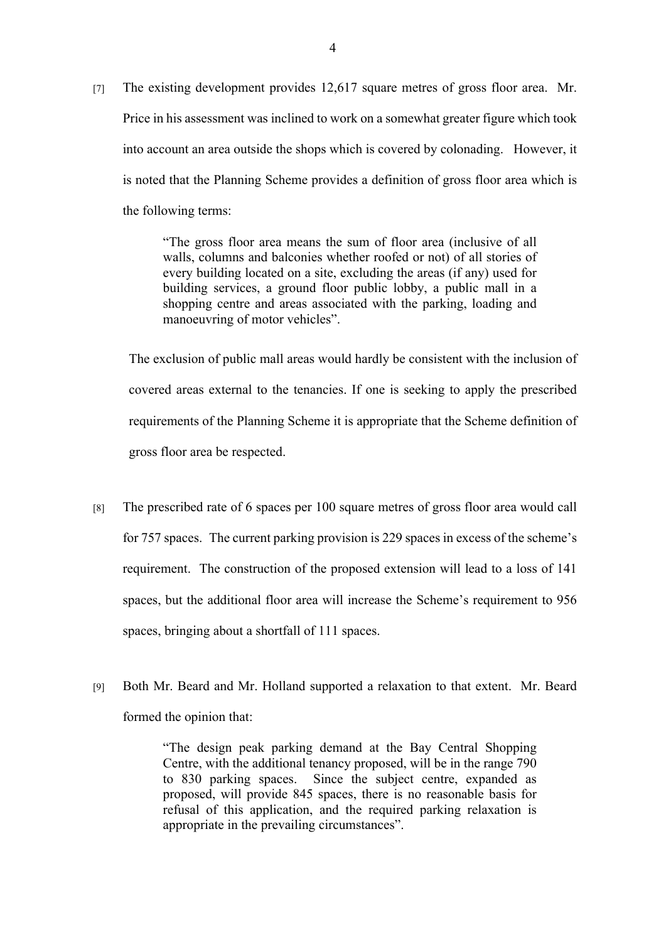[7] The existing development provides 12,617 square metres of gross floor area. Mr. Price in his assessment was inclined to work on a somewhat greater figure which took into account an area outside the shops which is covered by colonading. However, it is noted that the Planning Scheme provides a definition of gross floor area which is the following terms:

> "The gross floor area means the sum of floor area (inclusive of all walls, columns and balconies whether roofed or not) of all stories of every building located on a site, excluding the areas (if any) used for building services, a ground floor public lobby, a public mall in a shopping centre and areas associated with the parking, loading and manoeuvring of motor vehicles".

The exclusion of public mall areas would hardly be consistent with the inclusion of covered areas external to the tenancies. If one is seeking to apply the prescribed requirements of the Planning Scheme it is appropriate that the Scheme definition of gross floor area be respected.

- [8] The prescribed rate of 6 spaces per 100 square metres of gross floor area would call for 757 spaces. The current parking provision is 229 spaces in excess of the scheme's requirement. The construction of the proposed extension will lead to a loss of 141 spaces, but the additional floor area will increase the Scheme's requirement to 956 spaces, bringing about a shortfall of 111 spaces.
- [9] Both Mr. Beard and Mr. Holland supported a relaxation to that extent. Mr. Beard formed the opinion that:

"The design peak parking demand at the Bay Central Shopping Centre, with the additional tenancy proposed, will be in the range 790 to 830 parking spaces. Since the subject centre, expanded as proposed, will provide 845 spaces, there is no reasonable basis for refusal of this application, and the required parking relaxation is appropriate in the prevailing circumstances".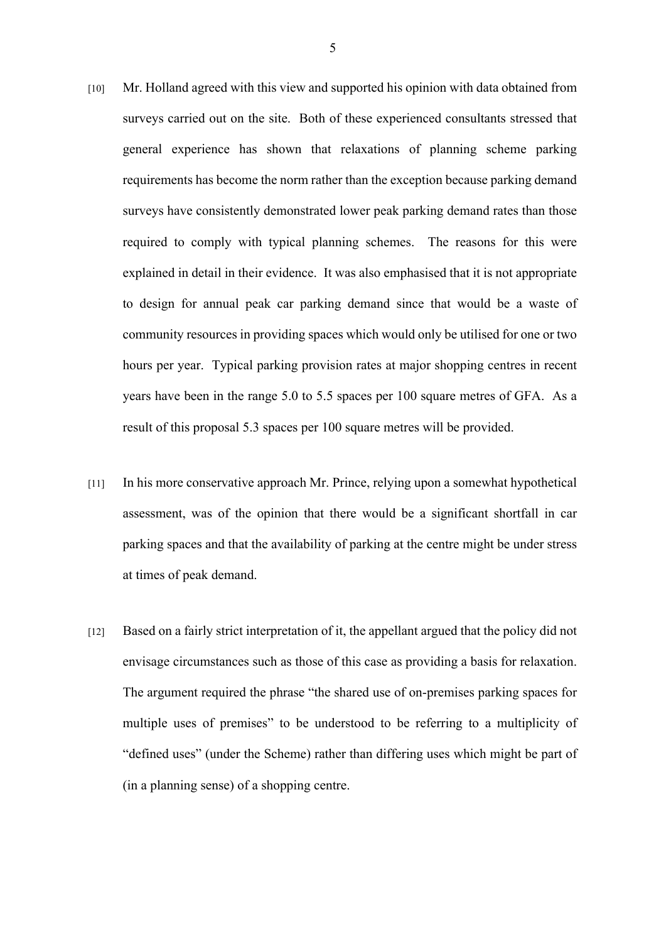- [10] Mr. Holland agreed with this view and supported his opinion with data obtained from surveys carried out on the site. Both of these experienced consultants stressed that general experience has shown that relaxations of planning scheme parking requirements has become the norm rather than the exception because parking demand surveys have consistently demonstrated lower peak parking demand rates than those required to comply with typical planning schemes. The reasons for this were explained in detail in their evidence. It was also emphasised that it is not appropriate to design for annual peak car parking demand since that would be a waste of community resources in providing spaces which would only be utilised for one or two hours per year. Typical parking provision rates at major shopping centres in recent years have been in the range 5.0 to 5.5 spaces per 100 square metres of GFA. As a result of this proposal 5.3 spaces per 100 square metres will be provided.
- [11] In his more conservative approach Mr. Prince, relying upon a somewhat hypothetical assessment, was of the opinion that there would be a significant shortfall in car parking spaces and that the availability of parking at the centre might be under stress at times of peak demand.
- [12] Based on a fairly strict interpretation of it, the appellant argued that the policy did not envisage circumstances such as those of this case as providing a basis for relaxation. The argument required the phrase "the shared use of on-premises parking spaces for multiple uses of premises" to be understood to be referring to a multiplicity of "defined uses" (under the Scheme) rather than differing uses which might be part of (in a planning sense) of a shopping centre.